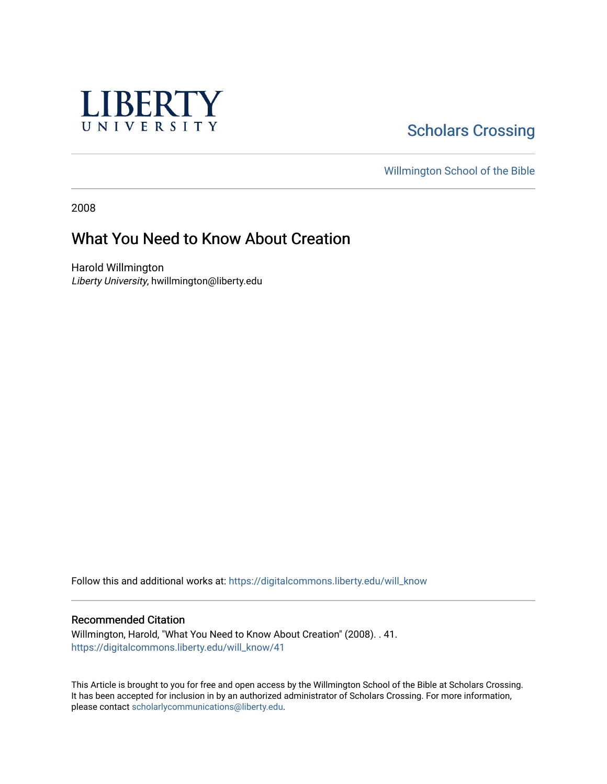

## **Scholars Crossing**

[Willmington School of the Bible](https://digitalcommons.liberty.edu/will_bible) 

2008

## What You Need to Know About Creation

Harold Willmington Liberty University, hwillmington@liberty.edu

Follow this and additional works at: [https://digitalcommons.liberty.edu/will\\_know](https://digitalcommons.liberty.edu/will_know?utm_source=digitalcommons.liberty.edu%2Fwill_know%2F41&utm_medium=PDF&utm_campaign=PDFCoverPages)

## Recommended Citation

Willmington, Harold, "What You Need to Know About Creation" (2008). . 41. [https://digitalcommons.liberty.edu/will\\_know/41](https://digitalcommons.liberty.edu/will_know/41?utm_source=digitalcommons.liberty.edu%2Fwill_know%2F41&utm_medium=PDF&utm_campaign=PDFCoverPages) 

This Article is brought to you for free and open access by the Willmington School of the Bible at Scholars Crossing. It has been accepted for inclusion in by an authorized administrator of Scholars Crossing. For more information, please contact [scholarlycommunications@liberty.edu.](mailto:scholarlycommunications@liberty.edu)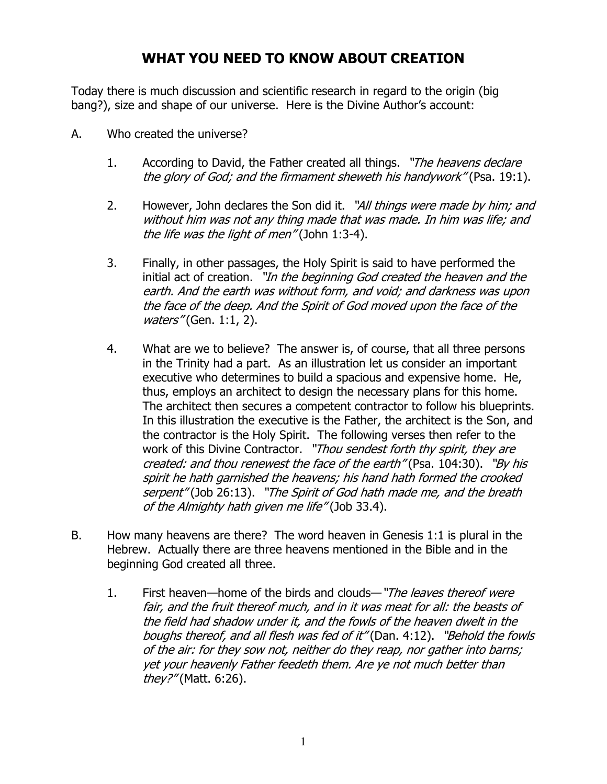## WHAT YOU NEED TO KNOW ABOUT CREATION

Today there is much discussion and scientific research in regard to the origin (big bang?), size and shape of our universe. Here is the Divine Author's account:

- A. Who created the universe?
	- 1. According to David, the Father created all things. "The heavens declare the glory of God; and the firmament sheweth his handywork" (Psa. 19:1).
	- 2. However, John declares the Son did it. "All things were made by him; and without him was not any thing made that was made. In him was life; and the life was the light of men" (John 1:3-4).
	- 3. Finally, in other passages, the Holy Spirit is said to have performed the initial act of creation. "In the beginning God created the heaven and the earth. And the earth was without form, and void; and darkness was upon the face of the deep. And the Spirit of God moved upon the face of the waters" (Gen. 1:1, 2).
	- 4. What are we to believe? The answer is, of course, that all three persons in the Trinity had a part. As an illustration let us consider an important executive who determines to build a spacious and expensive home. He, thus, employs an architect to design the necessary plans for this home. The architect then secures a competent contractor to follow his blueprints. In this illustration the executive is the Father, the architect is the Son, and the contractor is the Holy Spirit. The following verses then refer to the work of this Divine Contractor. "Thou sendest forth thy spirit, they are created: and thou renewest the face of the earth" (Psa. 104:30). "By his spirit he hath garnished the heavens; his hand hath formed the crooked serpent" (Job 26:13). "The Spirit of God hath made me, and the breath of the Almighty hath given me life" (Job 33.4).
- B. How many heavens are there? The word heaven in Genesis 1:1 is plural in the Hebrew. Actually there are three heavens mentioned in the Bible and in the beginning God created all three.
	- 1. First heaven—home of the birds and clouds—"The leaves thereof were fair, and the fruit thereof much, and in it was meat for all: the beasts of the field had shadow under it, and the fowls of the heaven dwelt in the boughs thereof, and all flesh was fed of it" (Dan. 4:12). "Behold the fowls of the air: for they sow not, neither do they reap, nor gather into barns; yet your heavenly Father feedeth them. Are ye not much better than they?" (Matt. 6:26).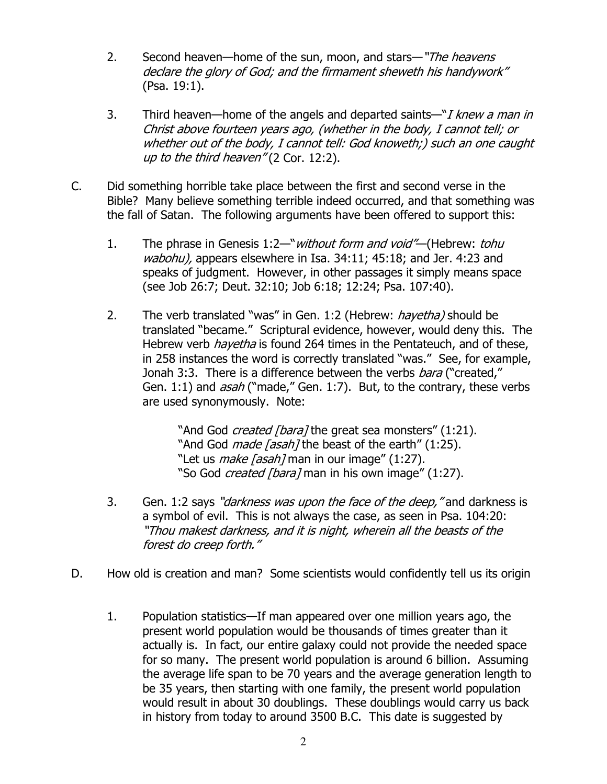- 2. Second heaven—home of the sun, moon, and stars—"The heavens declare the glory of God; and the firmament sheweth his handywork" (Psa. 19:1).
- 3. Third heaven—home of the angels and departed saints— $\mathbb{I}$  *knew a man in* Christ above fourteen years ago, (whether in the body, I cannot tell; or whether out of the body, I cannot tell: God knoweth;) such an one caught up to the third heaven" (2 Cor. 12:2).
- C. Did something horrible take place between the first and second verse in the Bible? Many believe something terrible indeed occurred, and that something was the fall of Satan. The following arguments have been offered to support this:
	- 1. The phrase in Genesis 1:2—"*without form and void"*—(Hebrew: *tohu* wabohu), appears elsewhere in Isa. 34:11; 45:18; and Jer. 4:23 and speaks of judgment. However, in other passages it simply means space (see Job 26:7; Deut. 32:10; Job 6:18; 12:24; Psa. 107:40).
	- 2. The verb translated "was" in Gen. 1:2 (Hebrew: *hayetha)* should be translated "became." Scriptural evidence, however, would deny this. The Hebrew verb *hayetha* is found 264 times in the Pentateuch, and of these, in 258 instances the word is correctly translated "was." See, for example, Jonah 3:3. There is a difference between the verbs *bara* ("created." Gen. 1:1) and *asah* ("made," Gen. 1:7). But, to the contrary, these verbs are used synonymously. Note:

"And God *created [bara]* the great sea monsters" (1:21). "And God *made [asah]* the beast of the earth" (1:25). "Let us *make [asah]* man in our image" (1:27). "So God *created [bara]* man in his own image" (1:27).

- 3. Gen. 1:2 says "*darkness was upon the face of the deep*," and darkness is a symbol of evil. This is not always the case, as seen in Psa. 104:20: "Thou makest darkness, and it is night, wherein all the beasts of the forest do creep forth."
- D. How old is creation and man? Some scientists would confidently tell us its origin
	- 1. Population statistics—If man appeared over one million years ago, the present world population would be thousands of times greater than it actually is. In fact, our entire galaxy could not provide the needed space for so many. The present world population is around 6 billion. Assuming the average life span to be 70 years and the average generation length to be 35 years, then starting with one family, the present world population would result in about 30 doublings. These doublings would carry us back in history from today to around 3500 B.C. This date is suggested by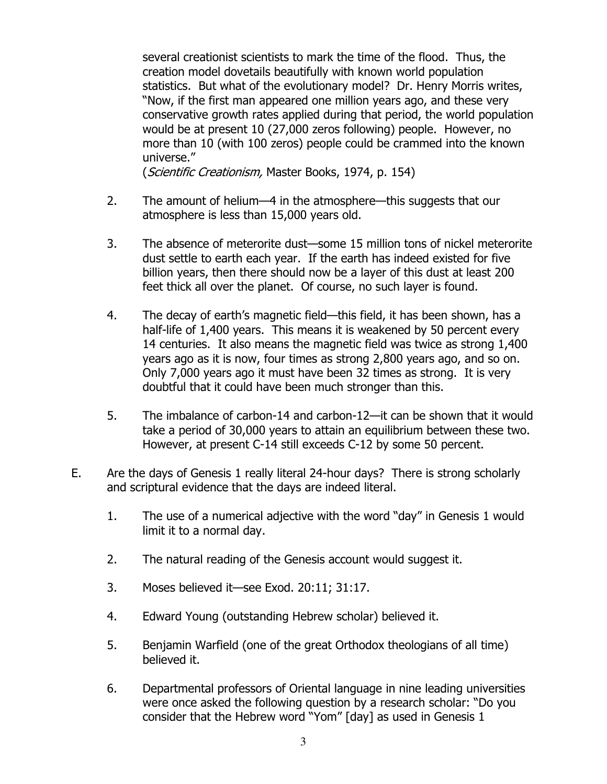several creationist scientists to mark the time of the flood. Thus, the creation model dovetails beautifully with known world population statistics. But what of the evolutionary model? Dr. Henry Morris writes, "Now, if the first man appeared one million years ago, and these very conservative growth rates applied during that period, the world population would be at present 10 (27,000 zeros following) people. However, no more than 10 (with 100 zeros) people could be crammed into the known universe."

(Scientific Creationism, Master Books, 1974, p. 154)

- 2. The amount of helium—4 in the atmosphere—this suggests that our atmosphere is less than 15,000 years old.
- 3. The absence of meterorite dust—some 15 million tons of nickel meterorite dust settle to earth each year. If the earth has indeed existed for five billion years, then there should now be a layer of this dust at least 200 feet thick all over the planet. Of course, no such layer is found.
- 4. The decay of earth's magnetic field—this field, it has been shown, has a half-life of 1,400 years. This means it is weakened by 50 percent every 14 centuries. It also means the magnetic field was twice as strong 1,400 years ago as it is now, four times as strong 2,800 years ago, and so on. Only 7,000 years ago it must have been 32 times as strong. It is very doubtful that it could have been much stronger than this.
- 5. The imbalance of carbon-14 and carbon-12—it can be shown that it would take a period of 30,000 years to attain an equilibrium between these two. However, at present C-14 still exceeds C-12 by some 50 percent.
- E. Are the days of Genesis 1 really literal 24-hour days? There is strong scholarly and scriptural evidence that the days are indeed literal.
	- 1. The use of a numerical adjective with the word "day" in Genesis 1 would limit it to a normal day.
	- 2. The natural reading of the Genesis account would suggest it.
	- 3. Moses believed it—see Exod. 20:11; 31:17.
	- 4. Edward Young (outstanding Hebrew scholar) believed it.
	- 5. Benjamin Warfield (one of the great Orthodox theologians of all time) believed it.
	- 6. Departmental professors of Oriental language in nine leading universities were once asked the following question by a research scholar: "Do you consider that the Hebrew word "Yom" [day] as used in Genesis 1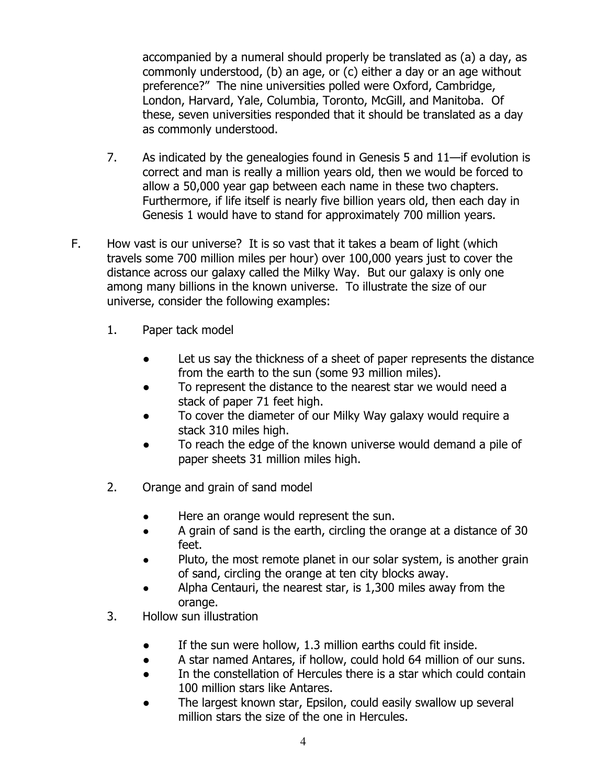accompanied by a numeral should properly be translated as (a) a day, as commonly understood, (b) an age, or (c) either a day or an age without preference?" The nine universities polled were Oxford, Cambridge, London, Harvard, Yale, Columbia, Toronto, McGill, and Manitoba. Of these, seven universities responded that it should be translated as a day as commonly understood.

- 7. As indicated by the genealogies found in Genesis 5 and 11—if evolution is correct and man is really a million years old, then we would be forced to allow a 50,000 year gap between each name in these two chapters. Furthermore, if life itself is nearly five billion years old, then each day in Genesis 1 would have to stand for approximately 700 million years.
- F. How vast is our universe? It is so vast that it takes a beam of light (which travels some 700 million miles per hour) over 100,000 years just to cover the distance across our galaxy called the Milky Way. But our galaxy is only one among many billions in the known universe. To illustrate the size of our universe, consider the following examples:
	- 1. Paper tack model
		- Let us say the thickness of a sheet of paper represents the distance from the earth to the sun (some 93 million miles).
		- To represent the distance to the nearest star we would need a stack of paper 71 feet high.
		- To cover the diameter of our Milky Way galaxy would require a stack 310 miles high.
		- To reach the edge of the known universe would demand a pile of paper sheets 31 million miles high.
	- 2. Orange and grain of sand model
		- Here an orange would represent the sun.
		- A grain of sand is the earth, circling the orange at a distance of 30 feet.
		- Pluto, the most remote planet in our solar system, is another grain of sand, circling the orange at ten city blocks away.
		- Alpha Centauri, the nearest star, is 1,300 miles away from the orange.
	- 3. Hollow sun illustration
		- If the sun were hollow, 1.3 million earths could fit inside.
		- A star named Antares, if hollow, could hold 64 million of our suns.
		- In the constellation of Hercules there is a star which could contain 100 million stars like Antares.
		- The largest known star, Epsilon, could easily swallow up several million stars the size of the one in Hercules.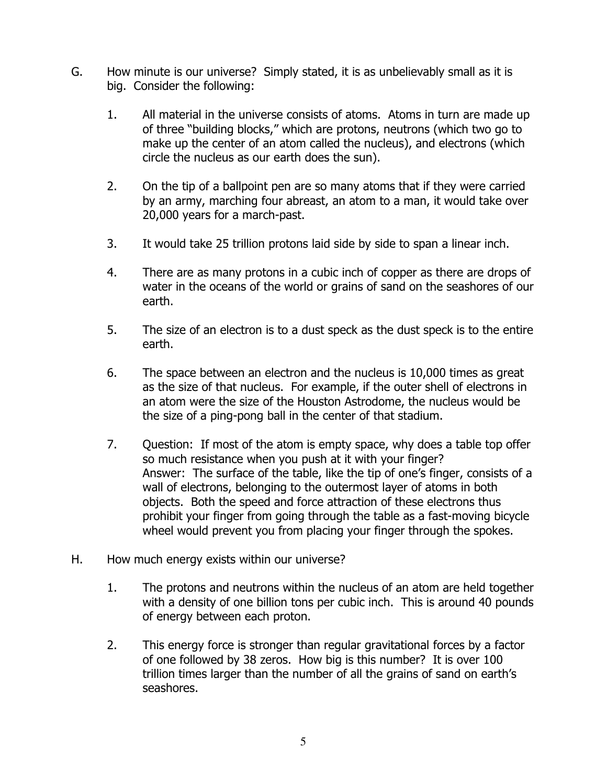- G. How minute is our universe? Simply stated, it is as unbelievably small as it is big. Consider the following:
	- 1. All material in the universe consists of atoms. Atoms in turn are made up of three "building blocks," which are protons, neutrons (which two go to make up the center of an atom called the nucleus), and electrons (which circle the nucleus as our earth does the sun).
	- 2. On the tip of a ballpoint pen are so many atoms that if they were carried by an army, marching four abreast, an atom to a man, it would take over 20,000 years for a march-past.
	- 3. It would take 25 trillion protons laid side by side to span a linear inch.
	- 4. There are as many protons in a cubic inch of copper as there are drops of water in the oceans of the world or grains of sand on the seashores of our earth.
	- 5. The size of an electron is to a dust speck as the dust speck is to the entire earth.
	- 6. The space between an electron and the nucleus is 10,000 times as great as the size of that nucleus. For example, if the outer shell of electrons in an atom were the size of the Houston Astrodome, the nucleus would be the size of a ping-pong ball in the center of that stadium.
	- 7. Question: If most of the atom is empty space, why does a table top offer so much resistance when you push at it with your finger? Answer: The surface of the table, like the tip of one's finger, consists of a wall of electrons, belonging to the outermost layer of atoms in both objects. Both the speed and force attraction of these electrons thus prohibit your finger from going through the table as a fast-moving bicycle wheel would prevent you from placing your finger through the spokes.
- H. How much energy exists within our universe?
	- 1. The protons and neutrons within the nucleus of an atom are held together with a density of one billion tons per cubic inch. This is around 40 pounds of energy between each proton.
	- 2. This energy force is stronger than regular gravitational forces by a factor of one followed by 38 zeros. How big is this number? It is over 100 trillion times larger than the number of all the grains of sand on earth's seashores.